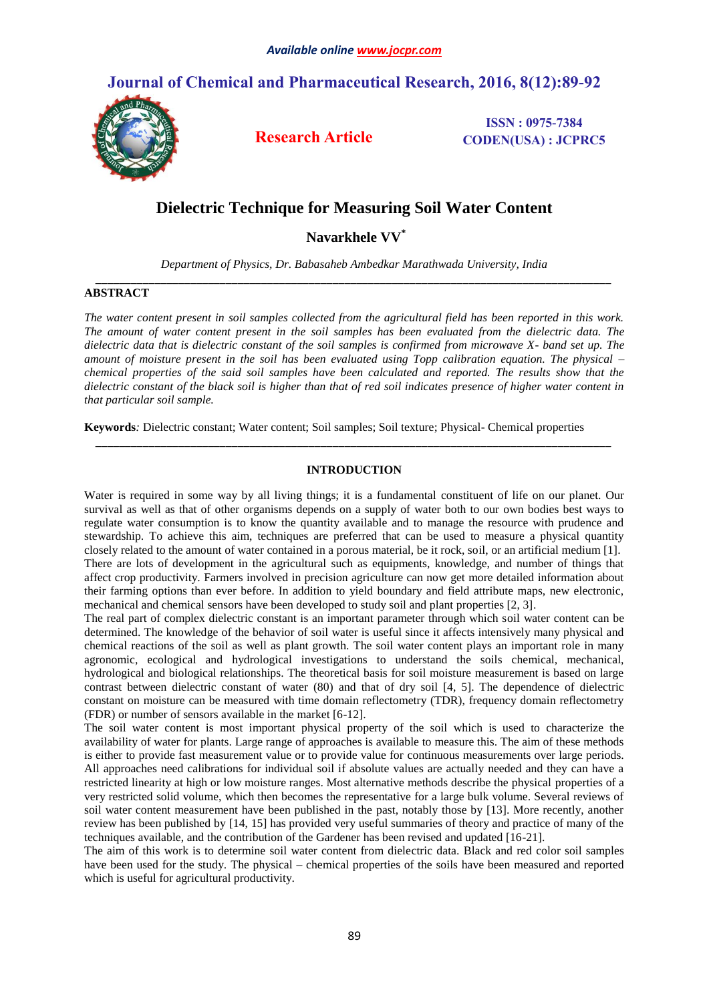# **Journal of Chemical and Pharmaceutical Research, 2016, 8(12):89-92**



**Research Article**

**ISSN : 0975-7384 CODEN(USA) : JCPRC5**

# **Dielectric Technique for Measuring Soil Water Content**

**Navarkhele VV\***

*Department of Physics, Dr. Babasaheb Ambedkar Marathwada University, India \_\_\_\_\_\_\_\_\_\_\_\_\_\_\_\_\_\_\_\_\_\_\_\_\_\_\_\_\_\_\_\_\_\_\_\_\_\_\_\_\_\_\_\_\_\_\_\_\_\_\_\_\_\_\_\_\_\_\_\_\_\_\_\_\_\_\_\_\_\_\_\_\_\_\_\_\_\_\_\_\_\_\_\_\_\_\_*

# **ABSTRACT**

*The water content present in soil samples collected from the agricultural field has been reported in this work. The amount of water content present in the soil samples has been evaluated from the dielectric data. The dielectric data that is dielectric constant of the soil samples is confirmed from microwave X- band set up. The amount of moisture present in the soil has been evaluated using Topp calibration equation. The physical – chemical properties of the said soil samples have been calculated and reported. The results show that the dielectric constant of the black soil is higher than that of red soil indicates presence of higher water content in that particular soil sample.*

**Keywords***:* Dielectric constant; Water content; Soil samples; Soil texture; Physical- Chemical properties

## **INTRODUCTION**

*\_\_\_\_\_\_\_\_\_\_\_\_\_\_\_\_\_\_\_\_\_\_\_\_\_\_\_\_\_\_\_\_\_\_\_\_\_\_\_\_\_\_\_\_\_\_\_\_\_\_\_\_\_\_\_\_\_\_\_\_\_\_\_\_\_\_\_\_\_\_\_\_\_\_\_\_\_\_\_\_\_\_\_\_\_\_\_*

Water is required in some way by all living things; it is a fundamental constituent of life on our planet. Our survival as well as that of other organisms depends on a supply of water both to our own bodies best ways to regulate water consumption is to know the quantity available and to manage the resource with prudence and stewardship. To achieve this aim, techniques are preferred that can be used to measure a physical quantity closely related to the amount of water contained in a porous material, be it rock, soil, or an artificial medium [1]. There are lots of development in the agricultural such as equipments, knowledge, and number of things that affect crop productivity. Farmers involved in precision agriculture can now get more detailed information about their farming options than ever before. In addition to yield boundary and field attribute maps, new electronic, mechanical and chemical sensors have been developed to study soil and plant properties [2, 3].

The real part of complex dielectric constant is an important parameter through which soil water content can be determined. The knowledge of the behavior of soil water is useful since it affects intensively many physical and chemical reactions of the soil as well as plant growth. The soil water content plays an important role in many agronomic, ecological and hydrological investigations to understand the soils chemical, mechanical, hydrological and biological relationships. The theoretical basis for soil moisture measurement is based on large contrast between dielectric constant of water (80) and that of dry soil [4, 5]. The dependence of dielectric constant on moisture can be measured with time domain reflectometry (TDR), frequency domain reflectometry (FDR) or number of sensors available in the market [6-12].

The soil water content is most important physical property of the soil which is used to characterize the availability of water for plants. Large range of approaches is available to measure this. The aim of these methods is either to provide fast measurement value or to provide value for continuous measurements over large periods. All approaches need calibrations for individual soil if absolute values are actually needed and they can have a restricted linearity at high or low moisture ranges. Most alternative methods describe the physical properties of a very restricted solid volume, which then becomes the representative for a large bulk volume. Several reviews of soil water content measurement have been published in the past, notably those by [13]. More recently, another review has been published by [14, 15] has provided very useful summaries of theory and practice of many of the techniques available, and the contribution of the Gardener has been revised and updated [16-21].

The aim of this work is to determine soil water content from dielectric data. Black and red color soil samples have been used for the study. The physical – chemical properties of the soils have been measured and reported which is useful for agricultural productivity.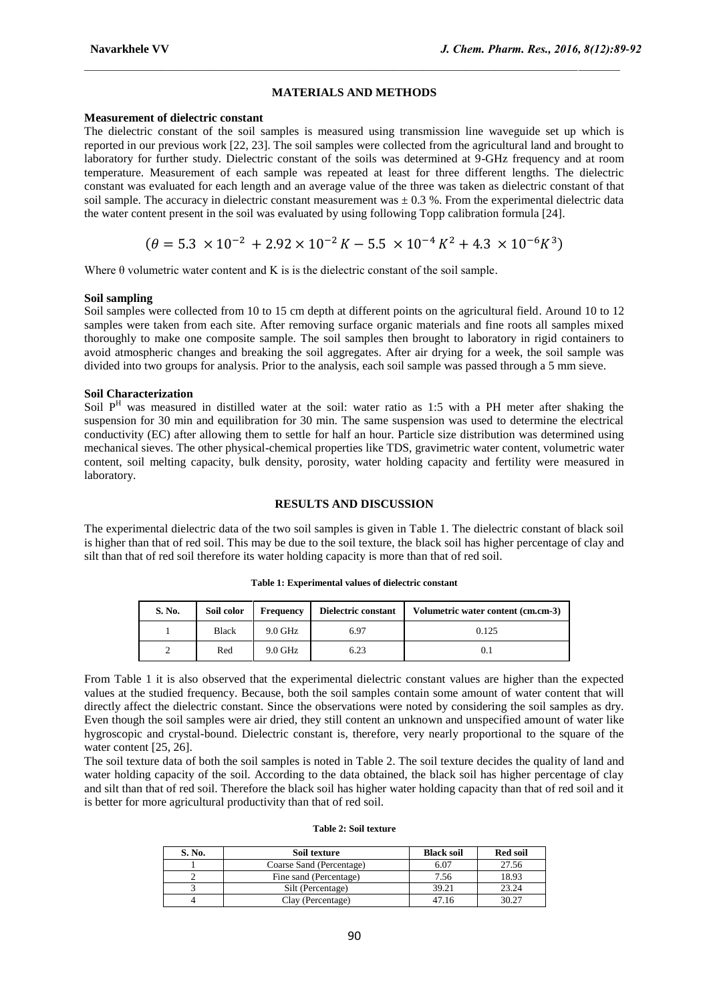# **MATERIALS AND METHODS**

 $\_$  , and the state of the state of the state of the state of the state of the state of the state of the state of the state of the state of the state of the state of the state of the state of the state of the state of the

# **Measurement of dielectric constant**

The dielectric constant of the soil samples is measured using transmission line waveguide set up which is reported in our previous work [22, 23]. The soil samples were collected from the agricultural land and brought to laboratory for further study. Dielectric constant of the soils was determined at 9-GHz frequency and at room temperature. Measurement of each sample was repeated at least for three different lengths. The dielectric constant was evaluated for each length and an average value of the three was taken as dielectric constant of that soil sample. The accuracy in dielectric constant measurement was  $\pm$  0.3 %. From the experimental dielectric data the water content present in the soil was evaluated by using following Topp calibration formula [24].

$$
(\theta = 5.3 \times 10^{-2} + 2.92 \times 10^{-2} K - 5.5 \times 10^{-4} K^2 + 4.3 \times 10^{-6} K^3)
$$

Where  $\theta$  volumetric water content and K is is the dielectric constant of the soil sample.

#### **Soil sampling**

Soil samples were collected from 10 to 15 cm depth at different points on the agricultural field. Around 10 to 12 samples were taken from each site. After removing surface organic materials and fine roots all samples mixed thoroughly to make one composite sample. The soil samples then brought to laboratory in rigid containers to avoid atmospheric changes and breaking the soil aggregates. After air drying for a week, the soil sample was divided into two groups for analysis. Prior to the analysis, each soil sample was passed through a 5 mm sieve.

## **Soil Characterization**

Soil  $P<sup>H</sup>$  was measured in distilled water at the soil: water ratio as 1:5 with a PH meter after shaking the suspension for 30 min and equilibration for 30 min. The same suspension was used to determine the electrical conductivity (EC) after allowing them to settle for half an hour. Particle size distribution was determined using mechanical sieves. The other physical-chemical properties like TDS, gravimetric water content, volumetric water content, soil melting capacity, bulk density, porosity, water holding capacity and fertility were measured in laboratory.

#### **RESULTS AND DISCUSSION**

The experimental dielectric data of the two soil samples is given in Table 1. The dielectric constant of black soil is higher than that of red soil. This may be due to the soil texture, the black soil has higher percentage of clay and silt than that of red soil therefore its water holding capacity is more than that of red soil.

| S. No. | Soil color   | Frequency | Dielectric constant | Volumetric water content (cm.cm-3) |
|--------|--------------|-----------|---------------------|------------------------------------|
|        | <b>Black</b> | $9.0$ GHz | 6.97                | 0.125                              |
|        | Red          | $9.0$ GHz | 6.23                |                                    |

**Table 1: Experimental values of dielectric constant**

From Table 1 it is also observed that the experimental dielectric constant values are higher than the expected values at the studied frequency. Because, both the soil samples contain some amount of water content that will directly affect the dielectric constant. Since the observations were noted by considering the soil samples as dry. Even though the soil samples were air dried, they still content an unknown and unspecified amount of water like hygroscopic and crystal-bound. Dielectric constant is, therefore, very nearly proportional to the square of the water content [25, 26].

The soil texture data of both the soil samples is noted in Table 2. The soil texture decides the quality of land and water holding capacity of the soil. According to the data obtained, the black soil has higher percentage of clay and silt than that of red soil. Therefore the black soil has higher water holding capacity than that of red soil and it is better for more agricultural productivity than that of red soil.

#### **Table 2: Soil texture**

| S. No. | Soil texture             | <b>Black soil</b> | <b>Red soil</b> |  |
|--------|--------------------------|-------------------|-----------------|--|
|        | Coarse Sand (Percentage) | 6.07              | 27.56           |  |
|        | Fine sand (Percentage)   | 7.56              | 18.93           |  |
|        | Silt (Percentage)        | 39.21             | 23.24           |  |
|        | Clay (Percentage)        | l7.16             | 30.27           |  |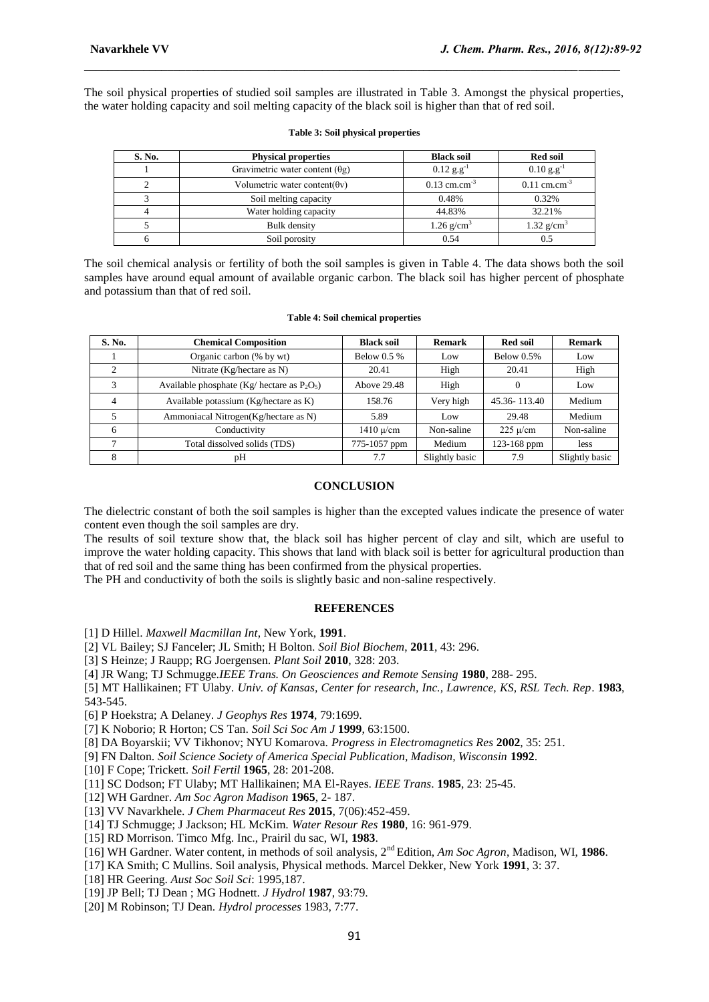The soil physical properties of studied soil samples are illustrated in Table 3. Amongst the physical properties, the water holding capacity and soil melting capacity of the black soil is higher than that of red soil.

 $\_$  , and the state of the state of the state of the state of the state of the state of the state of the state of the state of the state of the state of the state of the state of the state of the state of the state of the

| S. No. | <b>Physical properties</b>             | <b>Black soil</b>          | <b>Red soil</b>            |  |
|--------|----------------------------------------|----------------------------|----------------------------|--|
|        | Gravimetric water content $(\theta g)$ | $0.12$ g.g <sup>-1</sup>   | $0.10$ g.g <sup>-1</sup>   |  |
|        | Volumetric water content( $\theta$ v)  | $0.13$ cm.cm <sup>-3</sup> | $0.11$ cm.cm <sup>-3</sup> |  |
|        | Soil melting capacity                  | 0.48%                      | 0.32%                      |  |
|        | Water holding capacity                 | 44.83%                     | 32.21%                     |  |
|        | Bulk density                           | 1.26 $g/cm^3$              | 1.32 $g/cm^3$              |  |
|        | Soil porosity                          | 0.54                       |                            |  |

#### **Table 3: Soil physical properties**

The soil chemical analysis or fertility of both the soil samples is given in Table 4. The data shows both the soil samples have around equal amount of available organic carbon. The black soil has higher percent of phosphate and potassium than that of red soil.

#### **Table 4: Soil chemical properties**

| S. No.         | <b>Chemical Composition</b>                    | <b>Black soil</b>           | <b>Remark</b>  | <b>Red soil</b>            | <b>Remark</b>  |
|----------------|------------------------------------------------|-----------------------------|----------------|----------------------------|----------------|
|                | Organic carbon (% by wt)                       | Below $0.5\%$               | Low            | Below $0.5%$               | Low            |
| $\overline{c}$ | Nitrate (Kg/hectare as N)                      | 20.41                       | High           | 20.41                      | High           |
| 3              | Available phosphate (Kg/ hectare as $P_2O_5$ ) | Above 29.48                 | High           | $\Omega$                   | Low            |
| 4              | Available potassium (Kg/hectare as K)          | 158.76                      | Very high      | 45.36-113.40               | Medium         |
|                | Ammoniacal Nitrogen(Kg/hectare as N)           | 5.89                        | Low            | 29.48                      | Medium         |
| 6              | Conductivity                                   | $1410 \text{ }\mu\text{cm}$ | Non-saline     | $225 \text{ }\mu\text{cm}$ | Non-saline     |
|                | Total dissolved solids (TDS)                   | 775-1057 ppm                | Medium         | 123-168 ppm                | less           |
| 8              | pН                                             | 7.7                         | Slightly basic | 7.9                        | Slightly basic |

# **CONCLUSION**

The dielectric constant of both the soil samples is higher than the excepted values indicate the presence of water content even though the soil samples are dry.

The results of soil texture show that, the black soil has higher percent of clay and silt, which are useful to improve the water holding capacity. This shows that land with black soil is better for agricultural production than that of red soil and the same thing has been confirmed from the physical properties.

The PH and conductivity of both the soils is slightly basic and non-saline respectively.

## **REFERENCES**

[1] D Hillel. *Maxwell Macmillan Int*, New York, **1991**.

[2] VL Bailey; SJ Fanceler; JL Smith; H Bolton. *Soil Biol Biochem*, **2011**, 43: 296.

[3] S Heinze; J Raupp; RG Joergensen. *Plant Soil* **2010**, 328: 203.

[4] JR Wang; TJ Schmugge.*IEEE Trans. On Geosciences and Remote Sensing* **1980**, 288- 295.

[5] MT Hallikainen; FT Ulaby. *Univ. of Kansas, Center for research, Inc., Lawrence, KS, RSL Tech. Rep*. **1983**, 543-545.

[6] P Hoekstra; A Delaney. *J Geophys Res* **1974**, 79:1699.

[7] K Noborio; R Horton; CS Tan. *Soil Sci Soc Am J* **1999**, 63:1500.

[8] DA Boyarskii; VV Tikhonov; NYU Komarova. *Progress in Electromagnetics Res* **2002**, 35: 251.

[9] FN Dalton. *Soil Science Society of America Special Publication, Madison, Wisconsin* **1992**.

[10] F Cope; Trickett. *Soil Fertil* **1965**, 28: 201-208.

[11] SC Dodson; FT Ulaby; MT Hallikainen; MA El-Rayes. *IEEE Trans*. **1985**, 23: 25-45.

[12] WH Gardner. *Am Soc Agron Madison* **1965**, 2- 187.

[13] VV Navarkhele. *J Chem Pharmaceut Res* **2015**, 7(06):452-459.

[14] TJ Schmugge; J Jackson; HL McKim. *Water Resour Res* **1980**, 16: 961-979.

[15] RD Morrison. Timco Mfg. Inc., Prairil du sac, WI, **1983**.

[16] WH Gardner. Water content, in methods of soil analysis, 2nd Edition, *Am Soc Agron*, Madison, WI, **1986**.

[17] KA Smith; C Mullins. Soil analysis, Physical methods. Marcel Dekker, New York **1991**, 3: 37.

[18] HR Geering. *Aust Soc Soil Sci*: 1995,187.

[19] JP Bell; TJ Dean ; MG Hodnett. *J Hydrol* **1987**, 93:79.

[20] M Robinson; TJ Dean. *Hydrol processes* 1983, 7:77.